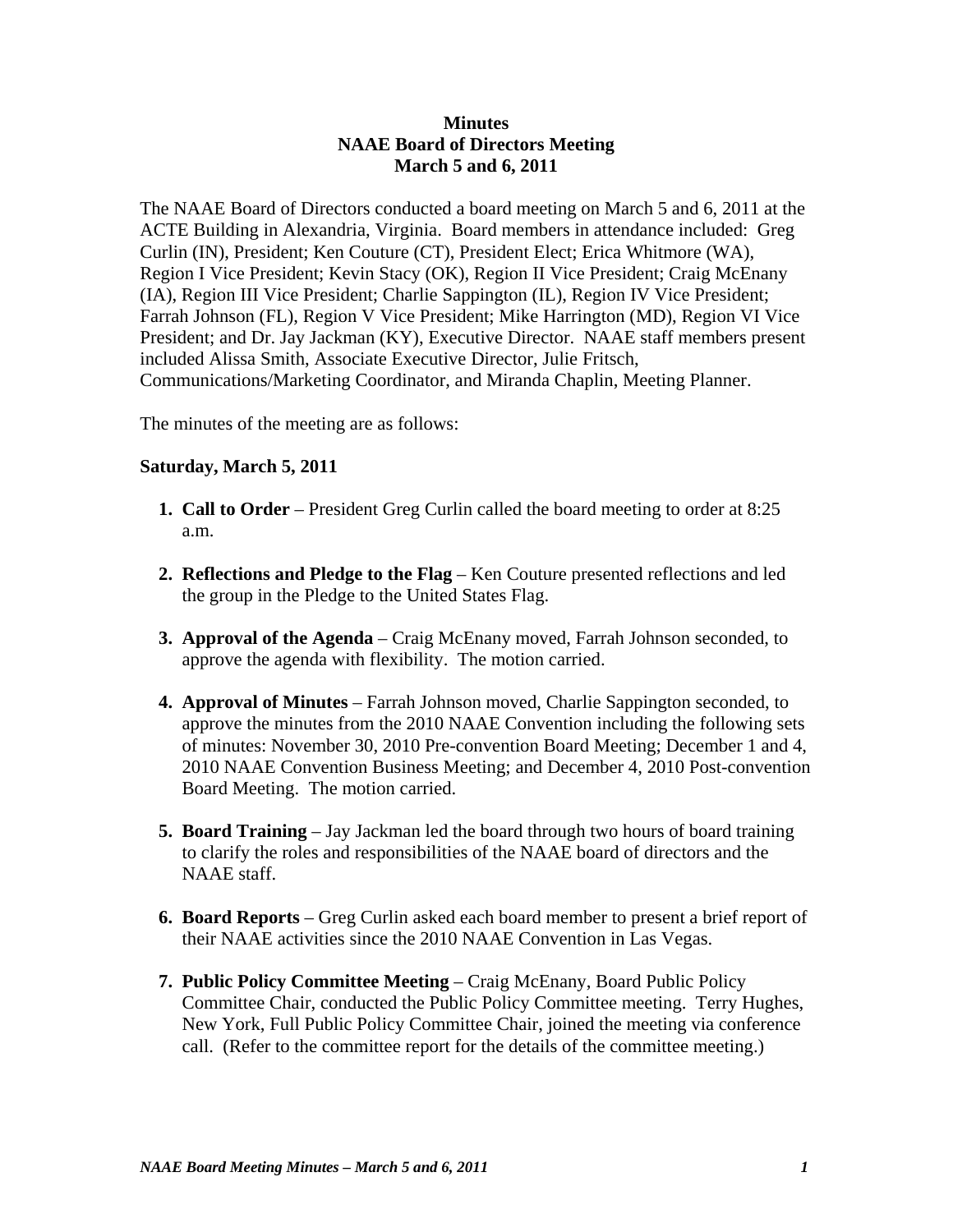## **Minutes NAAE Board of Directors Meeting March 5 and 6, 2011**

The NAAE Board of Directors conducted a board meeting on March 5 and 6, 2011 at the ACTE Building in Alexandria, Virginia. Board members in attendance included: Greg Curlin (IN), President; Ken Couture (CT), President Elect; Erica Whitmore (WA), Region I Vice President; Kevin Stacy (OK), Region II Vice President; Craig McEnany (IA), Region III Vice President; Charlie Sappington (IL), Region IV Vice President; Farrah Johnson (FL), Region V Vice President; Mike Harrington (MD), Region VI Vice President; and Dr. Jay Jackman (KY), Executive Director. NAAE staff members present included Alissa Smith, Associate Executive Director, Julie Fritsch, Communications/Marketing Coordinator, and Miranda Chaplin, Meeting Planner.

The minutes of the meeting are as follows:

## **Saturday, March 5, 2011**

- **1. Call to Order** President Greg Curlin called the board meeting to order at 8:25 a.m.
- **2. Reflections and Pledge to the Flag** Ken Couture presented reflections and led the group in the Pledge to the United States Flag.
- **3. Approval of the Agenda** Craig McEnany moved, Farrah Johnson seconded, to approve the agenda with flexibility. The motion carried.
- **4. Approval of Minutes** Farrah Johnson moved, Charlie Sappington seconded, to approve the minutes from the 2010 NAAE Convention including the following sets of minutes: November 30, 2010 Pre-convention Board Meeting; December 1 and 4, 2010 NAAE Convention Business Meeting; and December 4, 2010 Post-convention Board Meeting. The motion carried.
- **5. Board Training** Jay Jackman led the board through two hours of board training to clarify the roles and responsibilities of the NAAE board of directors and the NAAE staff.
- **6. Board Reports** Greg Curlin asked each board member to present a brief report of their NAAE activities since the 2010 NAAE Convention in Las Vegas.
- **7. Public Policy Committee Meeting** Craig McEnany, Board Public Policy Committee Chair, conducted the Public Policy Committee meeting. Terry Hughes, New York, Full Public Policy Committee Chair, joined the meeting via conference call. (Refer to the committee report for the details of the committee meeting.)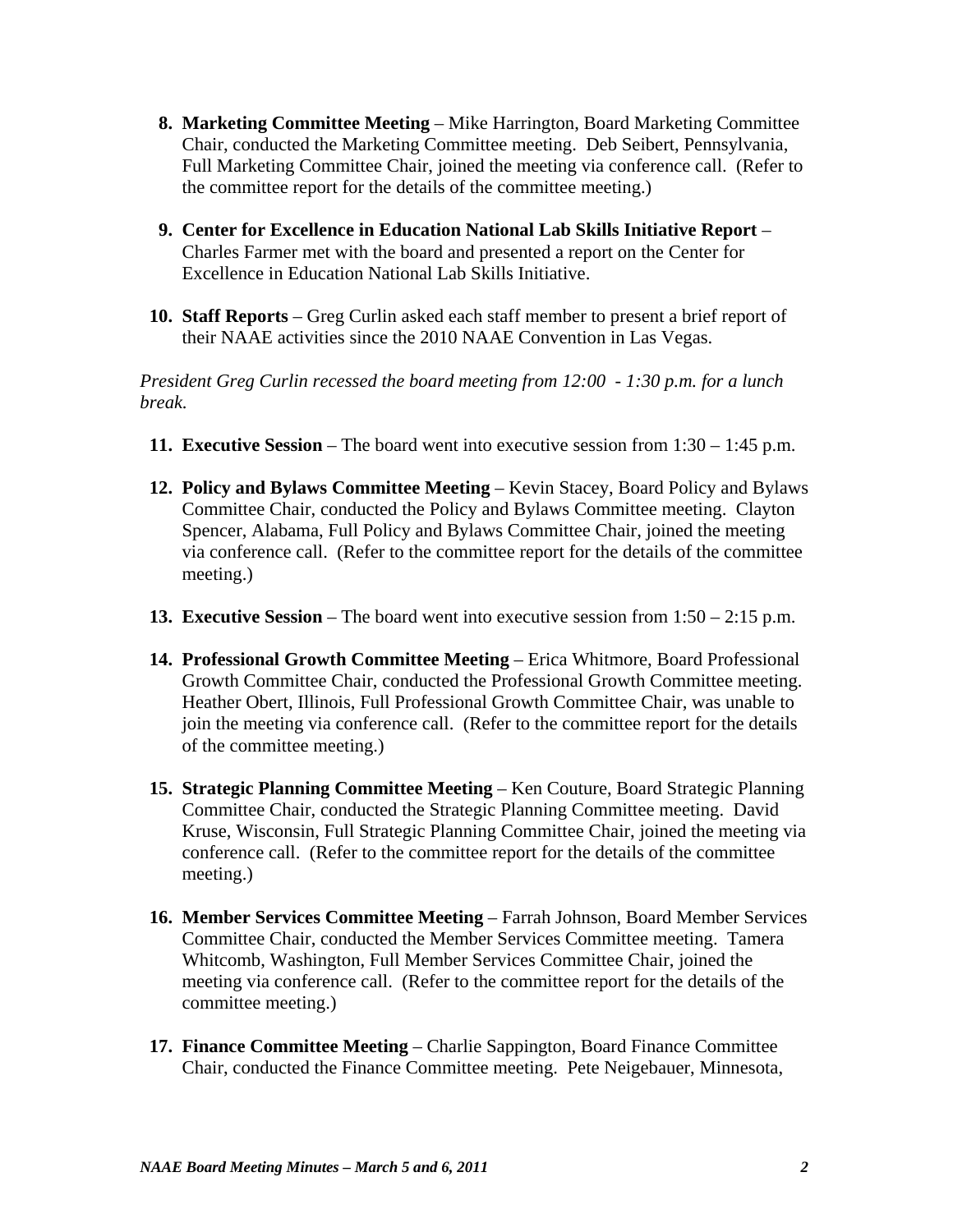- **8. Marketing Committee Meeting** Mike Harrington, Board Marketing Committee Chair, conducted the Marketing Committee meeting. Deb Seibert, Pennsylvania, Full Marketing Committee Chair, joined the meeting via conference call. (Refer to the committee report for the details of the committee meeting.)
- **9. Center for Excellence in Education National Lab Skills Initiative Report** Charles Farmer met with the board and presented a report on the Center for Excellence in Education National Lab Skills Initiative.
- **10. Staff Reports** Greg Curlin asked each staff member to present a brief report of their NAAE activities since the 2010 NAAE Convention in Las Vegas.

*President Greg Curlin recessed the board meeting from 12:00 - 1:30 p.m. for a lunch break.*

- **11. Executive Session**  The board went into executive session from 1:30 1:45 p.m.
- **12. Policy and Bylaws Committee Meeting**  Kevin Stacey, Board Policy and Bylaws Committee Chair, conducted the Policy and Bylaws Committee meeting. Clayton Spencer, Alabama, Full Policy and Bylaws Committee Chair, joined the meeting via conference call. (Refer to the committee report for the details of the committee meeting.)
- **13. Executive Session**  The board went into executive session from 1:50 2:15 p.m.
- **14. Professional Growth Committee Meeting** Erica Whitmore, Board Professional Growth Committee Chair, conducted the Professional Growth Committee meeting. Heather Obert, Illinois, Full Professional Growth Committee Chair, was unable to join the meeting via conference call. (Refer to the committee report for the details of the committee meeting.)
- **15. Strategic Planning Committee Meeting** Ken Couture, Board Strategic Planning Committee Chair, conducted the Strategic Planning Committee meeting. David Kruse, Wisconsin, Full Strategic Planning Committee Chair, joined the meeting via conference call. (Refer to the committee report for the details of the committee meeting.)
- **16. Member Services Committee Meeting**  Farrah Johnson, Board Member Services Committee Chair, conducted the Member Services Committee meeting. Tamera Whitcomb, Washington, Full Member Services Committee Chair, joined the meeting via conference call. (Refer to the committee report for the details of the committee meeting.)
- **17. Finance Committee Meeting**  Charlie Sappington, Board Finance Committee Chair, conducted the Finance Committee meeting. Pete Neigebauer, Minnesota,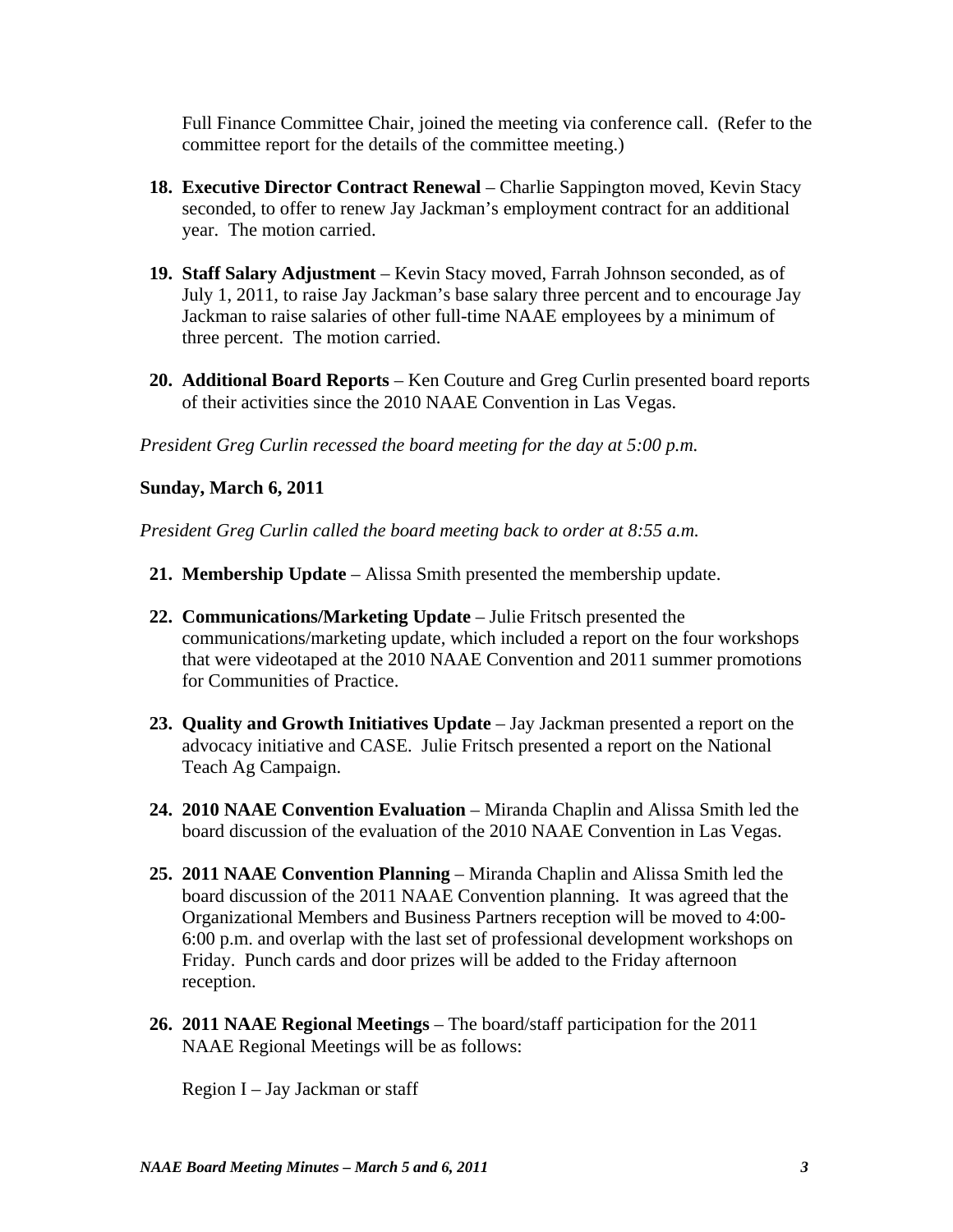Full Finance Committee Chair, joined the meeting via conference call. (Refer to the committee report for the details of the committee meeting.)

- **18. Executive Director Contract Renewal** Charlie Sappington moved, Kevin Stacy seconded, to offer to renew Jay Jackman's employment contract for an additional year. The motion carried.
- **19. Staff Salary Adjustment** Kevin Stacy moved, Farrah Johnson seconded, as of July 1, 2011, to raise Jay Jackman's base salary three percent and to encourage Jay Jackman to raise salaries of other full-time NAAE employees by a minimum of three percent. The motion carried.
- **20. Additional Board Reports** Ken Couture and Greg Curlin presented board reports of their activities since the 2010 NAAE Convention in Las Vegas.

*President Greg Curlin recessed the board meeting for the day at 5:00 p.m.*

## **Sunday, March 6, 2011**

*President Greg Curlin called the board meeting back to order at 8:55 a.m.* 

- **21. Membership Update** Alissa Smith presented the membership update.
- **22. Communications/Marketing Update** Julie Fritsch presented the communications/marketing update, which included a report on the four workshops that were videotaped at the 2010 NAAE Convention and 2011 summer promotions for Communities of Practice.
- **23. Quality and Growth Initiatives Update** Jay Jackman presented a report on the advocacy initiative and CASE. Julie Fritsch presented a report on the National Teach Ag Campaign.
- **24. 2010 NAAE Convention Evaluation** Miranda Chaplin and Alissa Smith led the board discussion of the evaluation of the 2010 NAAE Convention in Las Vegas.
- **25. 2011 NAAE Convention Planning** Miranda Chaplin and Alissa Smith led the board discussion of the 2011 NAAE Convention planning. It was agreed that the Organizational Members and Business Partners reception will be moved to 4:00- 6:00 p.m. and overlap with the last set of professional development workshops on Friday. Punch cards and door prizes will be added to the Friday afternoon reception.
- **26. 2011 NAAE Regional Meetings** The board/staff participation for the 2011 NAAE Regional Meetings will be as follows:

Region I – Jay Jackman or staff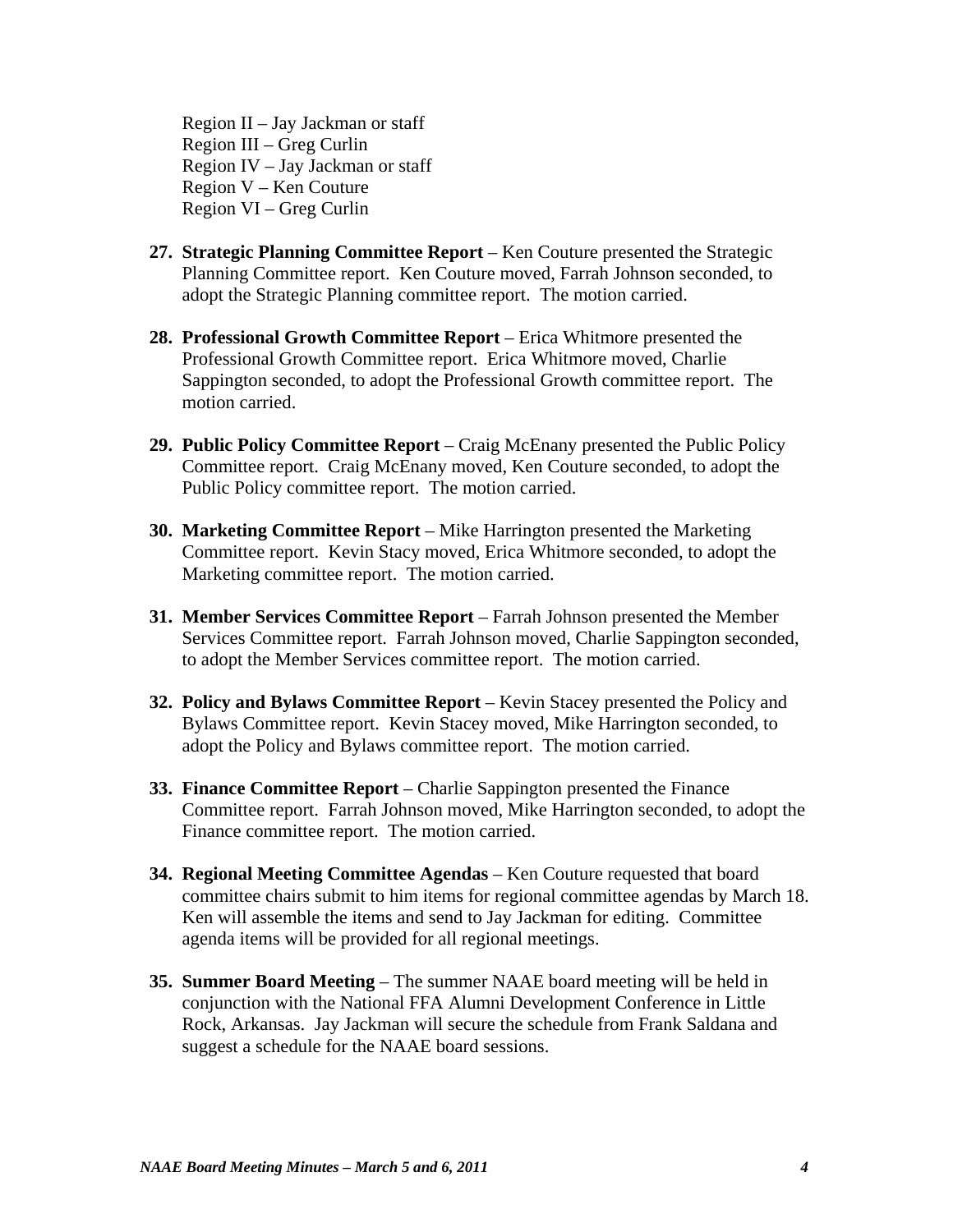Region II – Jay Jackman or staff Region III – Greg Curlin Region IV – Jay Jackman or staff Region V – Ken Couture Region VI – Greg Curlin

- **27. Strategic Planning Committee Report** Ken Couture presented the Strategic Planning Committee report. Ken Couture moved, Farrah Johnson seconded, to adopt the Strategic Planning committee report. The motion carried.
- **28. Professional Growth Committee Report** Erica Whitmore presented the Professional Growth Committee report. Erica Whitmore moved, Charlie Sappington seconded, to adopt the Professional Growth committee report. The motion carried.
- **29. Public Policy Committee Report** Craig McEnany presented the Public Policy Committee report. Craig McEnany moved, Ken Couture seconded, to adopt the Public Policy committee report. The motion carried.
- **30. Marketing Committee Report** Mike Harrington presented the Marketing Committee report. Kevin Stacy moved, Erica Whitmore seconded, to adopt the Marketing committee report. The motion carried.
- **31. Member Services Committee Report** Farrah Johnson presented the Member Services Committee report. Farrah Johnson moved, Charlie Sappington seconded, to adopt the Member Services committee report. The motion carried.
- **32. Policy and Bylaws Committee Report**  Kevin Stacey presented the Policy and Bylaws Committee report. Kevin Stacey moved, Mike Harrington seconded, to adopt the Policy and Bylaws committee report. The motion carried.
- **33. Finance Committee Report**  Charlie Sappington presented the Finance Committee report. Farrah Johnson moved, Mike Harrington seconded, to adopt the Finance committee report. The motion carried.
- **34. Regional Meeting Committee Agendas** Ken Couture requested that board committee chairs submit to him items for regional committee agendas by March 18. Ken will assemble the items and send to Jay Jackman for editing. Committee agenda items will be provided for all regional meetings.
- **35. Summer Board Meeting**  The summer NAAE board meeting will be held in conjunction with the National FFA Alumni Development Conference in Little Rock, Arkansas. Jay Jackman will secure the schedule from Frank Saldana and suggest a schedule for the NAAE board sessions.